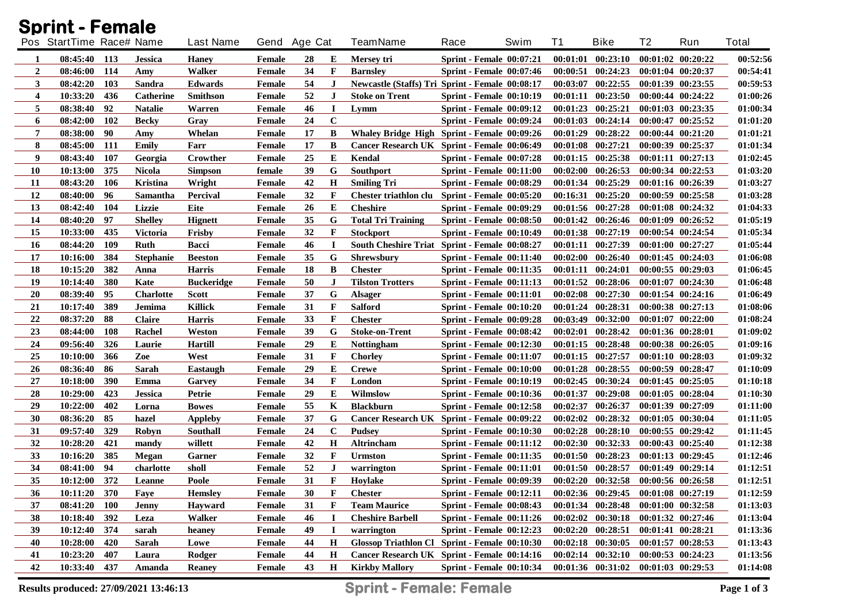|                | <b>Sprint - Female</b>   |            |                  |                   |               |    |              |                                                        |                                 |      |          |                       |                   |                       |              |
|----------------|--------------------------|------------|------------------|-------------------|---------------|----|--------------|--------------------------------------------------------|---------------------------------|------|----------|-----------------------|-------------------|-----------------------|--------------|
|                | Pos StartTime Race# Name |            |                  | <b>Last Name</b>  | Gend Age Cat  |    |              | <b>TeamName</b>                                        | Race                            | Swim | T1       | <b>Bike</b>           | T2                | Run                   | <b>Total</b> |
| 1              | 08:45:40 113             |            | Jessica          | <b>Haney</b>      | Female        | 28 | E            | Mersey tri                                             | <b>Sprint - Female 00:07:21</b> |      |          | $00:01:01$ $00:23:10$ |                   | $00:01:02$ $00:20:22$ | 00:52:56     |
| $\overline{2}$ | 08:46:00                 | 114        | Amy              | Walker            | Female        | 34 | $\mathbf{F}$ | <b>Barnsley</b>                                        | <b>Sprint - Female 00:07:46</b> |      |          | 00:00:51 00:24:23     |                   | 00:01:04 00:20:37     | 00:54:41     |
| 3              | 08:42:20                 | 103        | Sandra           | <b>Edwards</b>    | Female        | 54 | J            | <b>Newcastle (Staffs) Tri Sprint - Female 00:08:17</b> |                                 |      | 00:03:07 | 00:22:55              |                   | 00:01:39 00:23:55     | 00:59:53     |
| 4              | 10:33:20                 | 436        | Catherine        | <b>Smithson</b>   | Female        | 52 | $\bf J$      | <b>Stoke on Trent</b>                                  | <b>Sprint - Female 00:10:19</b> |      |          | $00:01:11$ $00:23:50$ |                   | 00:00:44 00:24:22     | 01:00:26     |
| 5              | 08:38:40                 | 92         | <b>Natalie</b>   | Warren            | Female        | 46 | I            | Lymm                                                   | <b>Sprint - Female 00:09:12</b> |      |          | 00:01:23 00:25:21     |                   | 00:01:03 00:23:35     | 01:00:34     |
| 6              | 08:42:00                 | <b>102</b> | <b>Becky</b>     | Gray              | Female        | 24 | $\mathbf C$  |                                                        | <b>Sprint - Female 00:09:24</b> |      |          | 00:01:03 00:24:14     |                   | 00:00:47 00:25:52     | 01:01:20     |
| 7              | 08:38:00                 | 90         | Amy              | Whelan            | <b>Female</b> | 17 | B            | Whaley Bridge High Sprint - Female 00:09:26            |                                 |      | 00:01:29 | 00:28:22              |                   | 00:00:44 00:21:20     | 01:01:21     |
| 8              | 08:45:00                 | 111        | Emily            | Farr              | <b>Female</b> | 17 | B            | Cancer Research UK Sprint - Female 00:06:49            |                                 |      |          | 00:01:08 00:27:21     |                   | 00:00:39 00:25:37     | 01:01:34     |
| 9              | 08:43:40                 | 107        | Georgia          | Crowther          | <b>Female</b> | 25 | E            | Kendal                                                 | <b>Sprint - Female 00:07:28</b> |      |          | 00:01:15 00:25:38     |                   | 00:01:11 00:27:13     | 01:02:45     |
| 10             | 10:13:00                 | 375        | <b>Nicola</b>    | <b>Simpson</b>    | female        | 39 | G            | <b>Southport</b>                                       | <b>Sprint - Female 00:11:00</b> |      |          | $00:02:00$ $00:26:53$ |                   | 00:00:34 00:22:53     | 01:03:20     |
| 11             | 08:43:20                 | 106        | Kristina         | Wright            | <b>Female</b> | 42 | H            | <b>Smiling Tri</b>                                     | <b>Sprint - Female 00:08:29</b> |      |          | 00:01:34 00:25:29     |                   | 00:01:16 00:26:39     | 01:03:27     |
| 12             | 08:40:00                 | 96         | Samantha         | Percival          | Female        | 32 | $\mathbf{F}$ | Chester triathlon clu                                  | <b>Sprint - Female 00:05:20</b> |      |          | 00:16:31 00:25:20     |                   | 00:00:59 00:25:58     | 01:03:28     |
| 13             | 08:42:40                 | 104        | Lizzie           | Eite              | <b>Female</b> | 26 | E            | <b>Cheshire</b>                                        | <b>Sprint - Female 00:09:29</b> |      |          | 00:01:56 00:27:28     |                   | 00:01:08 00:24:32     | 01:04:33     |
| 14             | 08:40:20                 | 97         | <b>Shelley</b>   | <b>Hignett</b>    | Female        | 35 | G            | <b>Total Tri Training</b>                              | <b>Sprint - Female 00:08:50</b> |      |          | 00:01:42 00:26:46     |                   | $00:01:09$ $00:26:52$ | 01:05:19     |
| 15             | 10:33:00                 | 435        | <b>Victoria</b>  | Frisby            | Female        | 32 | F            | <b>Stockport</b>                                       | <b>Sprint - Female 00:10:49</b> |      |          | 00:01:38 00:27:19     |                   | 00:00:54 00:24:54     | 01:05:34     |
| 16             | 08:44:20                 | 109        | Ruth             | <b>Bacci</b>      | Female        | 46 | $\bf I$      | South Cheshire Triat Sprint - Female 00:08:27          |                                 |      |          | 00:01:11 00:27:39     |                   | $00:01:00$ $00:27:27$ | 01:05:44     |
| 17             | 10:16:00                 | 384        | <b>Stephanie</b> | <b>Beeston</b>    | Female        | 35 | G            | <b>Shrewsbury</b>                                      | Sprint - Female 00:11:40        |      |          | $00:02:00$ $00:26:40$ |                   | $00:01:45$ $00:24:03$ | 01:06:08     |
| 18             | 10:15:20                 | 382        | Anna             | <b>Harris</b>     | Female        | 18 | B            | <b>Chester</b>                                         | <b>Sprint - Female 00:11:35</b> |      |          | $00:01:11$ $00:24:01$ |                   | $00:00:55$ $00:29:03$ | 01:06:45     |
| 19             | 10:14:40                 | 380        | Kate             | <b>Buckeridge</b> | Female        | 50 | J            | <b>Tilston Trotters</b>                                | <b>Sprint - Female 00:11:13</b> |      |          | $00:01:52$ $00:28:06$ |                   | $00:01:07$ $00:24:30$ | 01:06:48     |
| 20             | 08:39:40                 | 95         | <b>Charlotte</b> | <b>Scott</b>      | Female        | 37 | G            | <b>Alsager</b>                                         | Sprint - Female 00:11:01        |      |          | $00:02:08$ $00:27:30$ |                   | $00:01:54$ $00:24:16$ | 01:06:49     |
| 21             | 10:17:40                 | 389        | Jemima           | <b>Killick</b>    | Female        | 31 | F            | <b>Salford</b>                                         | Sprint - Female 00:10:20        |      |          | $00:01:24$ $00:28:31$ |                   | 00:00:38 00:27:13     | 01:08:06     |
| 22             | 08:37:20                 | 88         | <b>Claire</b>    | <b>Harris</b>     | Female        | 33 | $\mathbf{F}$ | <b>Chester</b>                                         | <b>Sprint - Female 00:09:28</b> |      |          | $00:03:49$ $00:32:00$ |                   | $00:01:07$ $00:22:00$ | 01:08:24     |
| 23             | 08:44:00                 | 108        | Rachel           | Weston            | Female        | 39 | G            | <b>Stoke-on-Trent</b>                                  | Sprint - Female 00:08:42        |      |          | $00:02:01$ $00:28:42$ |                   | 00:01:36 00:28:01     | 01:09:02     |
| 24             | 09:56:40                 | 326        | Laurie           | <b>Hartill</b>    | <b>Female</b> | 29 | Е            | <b>Nottingham</b>                                      | <b>Sprint - Female 00:12:30</b> |      |          | $00:01:15$ $00:28:48$ |                   | 00:00:38 00:26:05     | 01:09:16     |
| 25             | 10:10:00                 | 366        | Zoe              | West              | Female        | 31 | F            | <b>Chorley</b>                                         | <b>Sprint - Female 00:11:07</b> |      |          | 00:01:15 00:27:57     |                   | 00:01:10 00:28:03     | 01:09:32     |
| 26             | 08:36:40                 | 86         | Sarah            | <b>Eastaugh</b>   | Female        | 29 | E            | <b>Crewe</b>                                           | <b>Sprint - Female 00:10:00</b> |      |          | $00:01:28$ $00:28:55$ |                   | 00:00:59 00:28:47     | 01:10:09     |
| 27             | 10:18:00                 | 390        | Emma             | Garvey            | Female        | 34 | F            | London                                                 | <b>Sprint - Female 00:10:19</b> |      |          | $00:02:45$ $00:30:24$ |                   | $00:01:45$ $00:25:05$ | 01:10:18     |
| 28             | 10:29:00                 | 423        | Jessica          | Petrie            | Female        | 29 | E            | Wilmslow                                               | <b>Sprint - Female 00:10:36</b> |      |          | 00:01:37 00:29:08     |                   | $00:01:05$ $00:28:04$ | 01:10:30     |
| 29             | 10:22:00                 | 402        | Lorna            | <b>Bowes</b>      | Female        | 55 | K            | <b>Blackburn</b>                                       | <b>Sprint - Female 00:12:58</b> |      |          | 00:02:37 00:26:37     |                   | 00:01:39 00:27:09     | 01:11:00     |
| 30             | 08:36:20                 | 85         | hazel            | <b>Appleby</b>    | Female        | 37 | G            | Cancer Research UK Sprint - Female 00:09:22            |                                 |      |          | 00:02:02 00:28:32     |                   | 00:01:05 00:30:04     | 01:11:05     |
| 31             | 09:57:40                 | 329        | Robyn            | <b>Southall</b>   | Female        | 24 | $\mathbf C$  | <b>Pudsey</b>                                          | <b>Sprint - Female 00:10:30</b> |      |          | $00:02:28$ $00:28:10$ |                   | $00:00:55$ $00:29:42$ | 01:11:45     |
| 32             | 10:28:20                 | 421        | mandy            | willett           | Female        | 42 | $\mathbf H$  | Altrincham                                             | <b>Sprint - Female 00:11:12</b> |      |          | 00:02:30 00:32:33     |                   | 00:00:43 00:25:40     | 01:12:38     |
| 33             | 10:16:20                 | 385        | Megan            | Garner            | Female        | 32 | F            | <b>Urmston</b>                                         | <b>Sprint - Female 00:11:35</b> |      |          | 00:01:50 00:28:23     |                   | $00:01:13$ $00:29:45$ | 01:12:46     |
| 34             | 08:41:00                 | 94         | charlotte        | sholl             | <b>Female</b> | 52 | J            | warrington                                             | <b>Sprint - Female 00:11:01</b> |      |          | $00:01:50$ $00:28:57$ |                   | 00:01:49 00:29:14     | 01:12:51     |
| 35             | 10:12:00 372             |            | Leanne           | Poole             | Female        | 31 | F            | Hoylake                                                | <b>Sprint - Female 00:09:39</b> |      |          | $00:02:20$ $00:32:58$ | 00:00:56 00:26:58 |                       | 01:12:51     |
| 36             | 10:11:20                 | 370        | Faye             | Hemsley           | Female        | 30 | F            | <b>Chester</b>                                         | Sprint - Female 00:12:11        |      |          | 00:02:36 00:29:45     |                   | 00:01:08 00:27:19     | 01:12:59     |
| 37             | 08:41:20                 | <b>100</b> | <b>Jenny</b>     | Havward           | Female        | 31 | F            | <b>Team Maurice</b>                                    | <b>Sprint - Female 00:08:43</b> |      |          | 00:01:34 00:28:48     |                   | 00:01:00 00:32:58     | 01:13:03     |
| 38             | 10:18:40                 | 392        | Leza             | Walker            | Female        | 46 |              | <b>Cheshire Barbell</b>                                | Sprint - Female $00:11:26$      |      |          | $00:02:02$ $00:30:18$ |                   | 00:01:32 00:27:46     | 01:13:04     |
| 39             | 10:12:40                 | 374        | sarah            | heaney            | Female        | 49 | $\bf{I}$     | warrington                                             | <b>Sprint - Female 00:12:23</b> |      |          | $00:02:20$ $00:28:51$ | 00:01:41 00:28:21 |                       | 01:13:36     |
| 40             | 10:28:00                 | 420        | Sarah            | Lowe              | Female        | 44 | $\mathbf H$  | Glossop Triathlon Cl Sprint - Female 00:10:30          |                                 |      |          | 00:02:18 00:30:05     |                   | $00:01:57$ $00:28:53$ | 01:13:43     |
| 41             | 10:23:20                 | 407        | Laura            | Rodger            | Female        | 44 | H            | Cancer Research UK Sprint - Female 00:14:16            |                                 |      |          | $00:02:14$ $00:32:10$ |                   | $00:00:53$ $00:24:23$ | 01:13:56     |
| 42             | 10:33:40                 | 437        | Amanda           | <b>Reaney</b>     | Female        | 43 | $\mathbf H$  | <b>Kirkby Mallory</b>                                  | <b>Sprint - Female 00:10:34</b> |      |          | $00:01:36$ $00:31:02$ |                   | $00:01:03$ $00:29:53$ | 01:14:08     |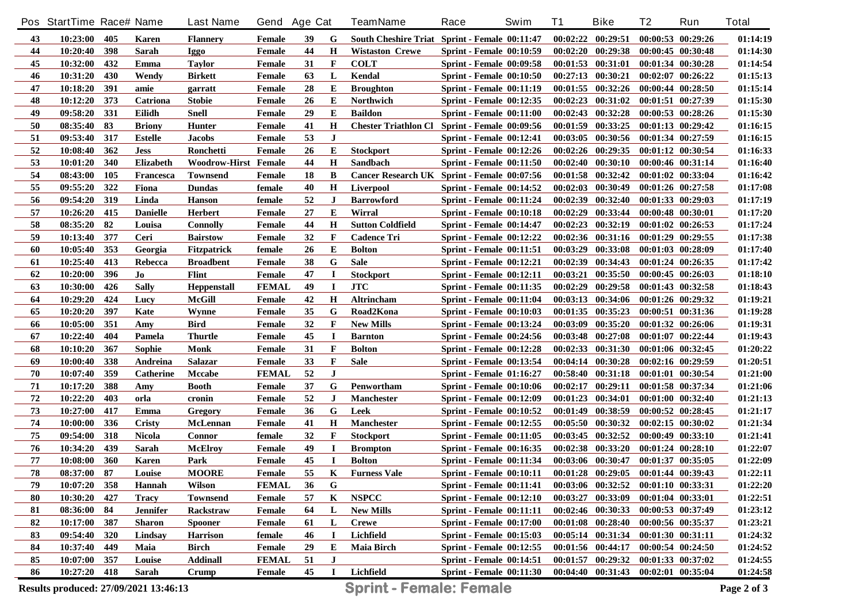|    | Pos StartTime Race# Name |     |                 | <b>Last Name</b>     | Gend Age Cat  |    |              | <b>TeamName</b>                               | Race                            | Swim | <b>T1</b> | <b>Bike</b>                         | T2                | Run                   | <b>Total</b> |
|----|--------------------------|-----|-----------------|----------------------|---------------|----|--------------|-----------------------------------------------|---------------------------------|------|-----------|-------------------------------------|-------------------|-----------------------|--------------|
| 43 | 10:23:00                 | 405 | Karen           | <b>Flannery</b>      | Female        | 39 | G            | South Cheshire Triat Sprint - Female 00:11:47 |                                 |      |           | $00:02:22$ $00:29:51$               |                   | 00:00:53 00:29:26     | 01:14:19     |
| 44 | 10:20:40                 | 398 | <b>Sarah</b>    | Iggo                 | Female        | 44 | $\mathbf H$  | <b>Wistaston Crewe</b>                        | <b>Sprint - Female 00:10:59</b> |      |           | 00:02:20 00:29:38                   |                   | 00:00:45 00:30:48     | 01:14:30     |
| 45 | 10:32:00                 | 432 | Emma            | <b>Taylor</b>        | Female        | 31 | $\mathbf{F}$ | <b>COLT</b>                                   | <b>Sprint - Female 00:09:58</b> |      |           | 00:01:53 00:31:01                   |                   | 00:01:34 00:30:28     | 01:14:54     |
| 46 | 10:31:20                 | 430 | Wendy           | <b>Birkett</b>       | Female        | 63 | L            | Kendal                                        | <b>Sprint - Female 00:10:50</b> |      |           | 00:27:13 00:30:21                   |                   | $00:02:07$ $00:26:22$ | 01:15:13     |
| 47 | 10:18:20                 | 391 | amie            | garratt              | Female        | 28 | Е            | <b>Broughton</b>                              | <b>Sprint - Female 00:11:19</b> |      |           | 00:01:55 00:32:26                   |                   | 00:00:44 00:28:50     | 01:15:14     |
| 48 | 10:12:20                 | 373 | Catriona        | <b>Stobie</b>        | Female        | 26 | Е            | Northwich                                     | <b>Sprint - Female 00:12:35</b> |      | 00:02:23  | 00:31:02                            |                   | 00:01:51 00:27:39     | 01:15:30     |
| 49 | 09:58:20                 | 331 | Eilidh          | Snell                | Female        | 29 | Е            | <b>Baildon</b>                                | <b>Sprint - Female 00:11:00</b> |      |           | 00:02:43 00:32:28                   |                   | 00:00:53 00:28:26     | 01:15:30     |
| 50 | 08:35:40                 | 83  | <b>Briony</b>   | <b>Hunter</b>        | Female        | 41 | $\mathbf H$  | <b>Chester Triathlon Cl</b>                   | Sprint - Female 00:09:56        |      |           | 00:01:59 00:33:25                   |                   | 00:01:13 00:29:42     | 01:16:15     |
| 51 | 09:53:40                 | 317 | Estelle         | <b>Jacobs</b>        | Female        | 53 | J            |                                               | <b>Sprint - Female 00:12:41</b> |      | 00:03:05  | 00:30:56                            |                   | 00:01:34 00:27:59     | 01:16:15     |
| 52 | 10:08:40                 | 362 | Jess            | Ronchetti            | <b>Female</b> | 26 | Е            | <b>Stockport</b>                              | <b>Sprint - Female 00:12:26</b> |      |           | $00:02:26$ $00:29:35$               |                   | 00:01:12 00:30:54     | 01:16:33     |
| 53 | 10:01:20                 | 340 | Elizabeth       | Woodrow-Hirst Female |               | 44 | $\mathbf H$  | Sandbach                                      | <b>Sprint - Female 00:11:50</b> |      |           | $00:02:40$ $00:30:10$               |                   | 00:00:46 00:31:14     | 01:16:40     |
| 54 | 08:43:00                 | 105 | Francesca       | <b>Townsend</b>      | Female        | 18 | B            | Cancer Research UK Sprint - Female 00:07:56   |                                 |      |           | $00:01:58$ $00:32:42$               |                   | 00:01:02 00:33:04     | 01:16:42     |
| 55 | 09:55:20                 | 322 | Fiona           | <b>Dundas</b>        | female        | 40 | H            | <b>Liverpool</b>                              | <b>Sprint - Female 00:14:52</b> |      | 00:02:03  | 00:30:49                            |                   | 00:01:26 00:27:58     | 01:17:08     |
| 56 | 09:54:20                 | 319 | Linda           | <b>Hanson</b>        | female        | 52 | $\bf J$      | <b>Barrowford</b>                             | <b>Sprint - Female 00:11:24</b> |      |           | $00:02:39$ $00:32:40$               |                   | 00:01:33 00:29:03     | 01:17:19     |
| 57 | 10:26:20                 | 415 | <b>Danielle</b> | Herbert              | Female        | 27 | Е            | Wirral                                        | Sprint - Female 00:10:18        |      | 00:02:29  | 00:33:44                            |                   | 00:00:48 00:30:01     | 01:17:20     |
| 58 | 08:35:20                 | 82  | Louisa          | <b>Connolly</b>      | Female        | 44 | $\mathbf H$  | <b>Sutton Coldfield</b>                       | <b>Sprint - Female 00:14:47</b> |      | 00:02:23  | 00:32:19                            |                   | 00:01:02 00:26:53     | 01:17:24     |
| 59 | 10:13:40                 | 377 | Ceri            | <b>Bairstow</b>      | Female        | 32 | $\mathbf{F}$ | <b>Cadence Tri</b>                            | <b>Sprint - Female 00:12:22</b> |      |           | 00:02:36 00:31:16                   |                   | $00:01:29$ $00:29:55$ | 01:17:38     |
| 60 | 10:05:40                 | 353 | Georgia         | <b>Fitzpatrick</b>   | female        | 26 | Е            | <b>Bolton</b>                                 | <b>Sprint - Female 00:11:51</b> |      | 00:03:29  | 00:33:08                            |                   | 00:01:03 00:28:09     | 01:17:40     |
| 61 | 10:25:40                 | 413 | Rebecca         | <b>Broadbent</b>     | Female        | 38 | G            | <b>Sale</b>                                   | <b>Sprint - Female 00:12:21</b> |      | 00:02:39  | 00:34:43                            |                   | 00:01:24 00:26:35     | 01:17:42     |
| 62 | 10:20:00                 | 396 | Jo              | Flint                | Female        | 47 | I            | <b>Stockport</b>                              | <b>Sprint - Female 00:12:11</b> |      |           | $00:03:21$ $00:35:50$               |                   | 00:00:45 00:26:03     | 01:18:10     |
| 63 | 10:30:00                 | 426 | <b>Sally</b>    | <b>Heppenstall</b>   | <b>FEMAL</b>  | 49 | $\bf I$      | <b>JTC</b>                                    | <b>Sprint - Female 00:11:35</b> |      | 00:02:29  | 00:29:58                            |                   | 00:01:43 00:32:58     | 01:18:43     |
| 64 | 10:29:20                 | 424 | Lucy            | <b>McGill</b>        | Female        | 42 | H            | Altrincham                                    | Sprint - Female 00:11:04        |      | 00:03:13  | 00:34:06                            |                   | 00:01:26 00:29:32     | 01:19:21     |
| 65 | 10:20:20                 | 397 | Kate            | Wynne                | Female        | 35 | G            | Road2Kona                                     | <b>Sprint - Female 00:10:03</b> |      |           | 00:01:35 00:35:23                   |                   | 00:00:51 00:31:36     | 01:19:28     |
| 66 | 10:05:00                 | 351 | Amy             | <b>Bird</b>          | Female        | 32 | $\mathbf{F}$ | <b>New Mills</b>                              | <b>Sprint - Female 00:13:24</b> |      | 00:03:09  | 00:35:20                            |                   | 00:01:32 00:26:06     | 01:19:31     |
| 67 | 10:22:40                 | 404 | Pamela          | <b>Thurtle</b>       | Female        | 45 | I            | <b>Barnton</b>                                | <b>Sprint - Female 00:24:56</b> |      |           | $00:03:48$ $00:27:08$               |                   | 00:01:07 00:22:44     | 01:19:43     |
| 68 | 10:10:20                 | 367 | Sophie          | <b>Monk</b>          | Female        | 31 | F            | <b>Bolton</b>                                 | Sprint - Female 00:12:28        |      |           | 00:02:33 00:31:30                   |                   | 00:01:06 00:32:45     | 01:20:22     |
| 69 | 10:00:40                 | 338 | Andreina        | <b>Salazar</b>       | Female        | 33 | F            | <b>Sale</b>                                   | <b>Sprint - Female 00:13:54</b> |      | 00:04:14  | 00:30:28                            |                   | 00:02:16 00:29:59     | 01:20:51     |
| 70 | 10:07:40                 | 359 | Catherine       | <b>Mccabe</b>        | <b>FEMAL</b>  | 52 | $\bf J$      |                                               | <b>Sprint - Female 01:16:27</b> |      |           | 00:58:40 00:31:18                   |                   | 00:01:01 00:30:54     | 01:21:00     |
| 71 | 10:17:20                 | 388 | Amy             | <b>Booth</b>         | Female        | 37 | G            | Penwortham                                    | <b>Sprint - Female 00:10:06</b> |      |           | $00:02:17$ $00:29:11$               |                   | 00:01:58 00:37:34     | 01:21:06     |
| 72 | 10:22:20                 | 403 | orla            | cronin               | Female        | 52 | J            | <b>Manchester</b>                             | <b>Sprint - Female 00:12:09</b> |      |           | $00:01:23$ $00:34:01$               |                   | 00:01:00 00:32:40     | 01:21:13     |
| 73 | 10:27:00                 | 417 | Emma            | Gregory              | <b>Female</b> | 36 | G            | Leek                                          | <b>Sprint - Female 00:10:52</b> |      |           | 00:01:49 00:38:59                   |                   | 00:00:52 00:28:45     | 01:21:17     |
| 74 | 10:00:00                 | 336 | Cristy          | <b>McLennan</b>      | <b>Female</b> | 41 | H            | <b>Manchester</b>                             | <b>Sprint - Female 00:12:55</b> |      |           | 00:05:50 00:30:32                   |                   | $00:02:15$ $00:30:02$ | 01:21:34     |
| 75 | 09:54:00                 | 318 | <b>Nicola</b>   | <b>Connor</b>        | female        | 32 | F            | <b>Stockport</b>                              | <b>Sprint - Female 00:11:05</b> |      |           | $00:03:45$ $00:32:52$               |                   | 00:00:49 00:33:10     | 01:21:41     |
| 76 | 10:34:20                 | 439 | Sarah           | <b>McElroy</b>       | <b>Female</b> | 49 | $\bf{I}$     | <b>Brompton</b>                               | <b>Sprint - Female 00:16:35</b> |      |           | $00:02:38$ $00:33:20$               |                   | $00:01:24$ $00:28:10$ | 01:22:07     |
| 77 | 10:08:00                 | 360 | <b>Karen</b>    | Park                 | Female        | 45 | $\mathbf I$  | <b>Bolton</b>                                 | <b>Sprint - Female 00:11:34</b> |      |           | 00:03:06 00:30:47                   |                   | $00:01:37$ $00:35:05$ | 01:22:09     |
| 78 | 08:37:00                 | 87  | Louise          | <b>MOORE</b>         | Female        | 55 | $\mathbf{K}$ | <b>Furness Vale</b>                           | <b>Sprint - Female 00:10:11</b> |      |           | 00:01:28 00:29:05 00:01:44 00:39:43 |                   |                       | 01:22:11     |
| 79 | 10:07:20                 | 358 | <b>Hannah</b>   | Wilson               | <b>FEMAL</b>  | 36 | G            |                                               | <b>Sprint - Female 00:11:41</b> |      |           | $00:03:06$ $00:32:52$               | 00:01:10 00:33:31 |                       | 01:22:20     |
| 80 | 10:30:20                 | 427 | <b>Tracy</b>    | <b>Townsend</b>      | Female        | 57 | K            | <b>NSPCC</b>                                  | <b>Sprint - Female 00:12:10</b> |      |           | $00:03:27$ $00:33:09$               |                   | 00:01:04 00:33:01     | 01:22:51     |
| 81 | 08:36:00                 | 84  | <b>Jennifer</b> | Rackstraw            | Female        | 64 | L            | <b>New Mills</b>                              | <b>Sprint - Female 00:11:11</b> |      |           | $00:02:46$ $00:30:33$               |                   | 00:00:53 00:37:49     | 01:23:12     |
| 82 | 10:17:00                 | 387 | <b>Sharon</b>   | <b>Spooner</b>       | Female        | 61 | L            | <b>Crewe</b>                                  | <b>Sprint - Female 00:17:00</b> |      |           | $00:01:08$ $00:28:40$               |                   | 00:00:56 00:35:37     | 01:23:21     |
| 83 | 09:54:40                 | 320 | Lindsay         | <b>Harrison</b>      | <b>female</b> | 46 | I            | Lichfield                                     | <b>Sprint - Female 00:15:03</b> |      |           | $00:05:14$ $00:31:34$               |                   | 00:01:30 00:31:11     | 01:24:32     |
| 84 | 10:37:40                 | 449 | Maia            | <b>Birch</b>         | Female        | 29 | Е            | <b>Maia Birch</b>                             | <b>Sprint - Female 00:12:55</b> |      |           | 00:01:56 00:44:17                   |                   | 00:00:54 00:24:50     | 01:24:52     |
| 85 | 10:07:00                 | 357 | Louise          | <b>Addinall</b>      | <b>FEMAL</b>  | 51 | $\bf J$      |                                               | <b>Sprint - Female 00:14:51</b> |      |           | $00:01:57$ $00:29:32$               | 00:01:33 00:37:02 |                       | 01:24:55     |
| 86 | 10:27:20                 | 418 | Sarah           | Crump                | Female        | 45 | $\bf{I}$     | Lichfield                                     | <b>Sprint - Female 00:11:30</b> |      |           | 00:04:40 00:31:43 00:02:01 00:35:04 |                   |                       | 01:24:58     |